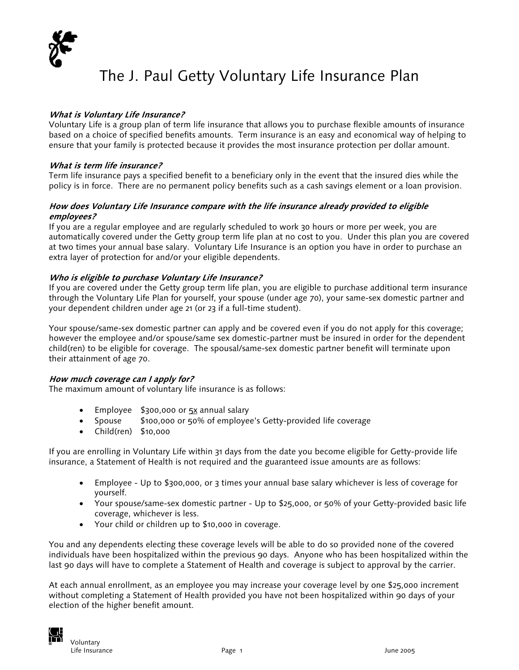

# The J. Paul Getty Voluntary Life Insurance Plan

# **What is Voluntary Life Insurance?**

Voluntary Life is a group plan of term life insurance that allows you to purchase flexible amounts of insurance based on a choice of specified benefits amounts. Term insurance is an easy and economical way of helping to ensure that your family is protected because it provides the most insurance protection per dollar amount.

# **What is term life insurance?**

Term life insurance pays a specified benefit to a beneficiary only in the event that the insured dies while the policy is in force. There are no permanent policy benefits such as a cash savings element or a loan provision.

# **How does Vo untary Life Insurance compare with the life insurance already provided to eligible l emp oyees? l**

If you are a regular employee and are regularly scheduled to work 30 hours or more per week, you are automatically covered under the Getty group term life plan at no cost to you. Under this plan you are covered at two times your annual base salary. Voluntary Life Insurance is an option you have in order to purchase an extra layer of protection for and/or your eligible dependents.

# **Who is eligible to purchase Voluntary Life Insurance?**

If you are covered under the Getty group term life plan, you are eligible to purchase additional term insurance through the Voluntary Life Plan for yourself, your spouse (under age 70), your same-sex domestic partner and your dependent children under age 21 (or 23 if a full-time student).

Your spouse/same-sex domestic partner can apply and be covered even if you do not apply for this coverage; however the employee and/or spouse/same sex domestic-partner must be insured in order for the dependent child(ren) to be eligible for coverage. The spousal/same-sex domestic partner benefit will terminate upon their attainment of age 70.

#### **How much coverage can I apply for?**

The maximum amount of voluntary life insurance is as follows:

- Employee \$300,000 or 5x annual salary
- Spouse \$100,000 or 50% of employee's Getty-provided life coverage
- Child(ren) \$10,000

If you are enrolling in Voluntary Life within 31 days from the date you become eligible for Getty-provide life insurance, a Statement of Health is not required and the guaranteed issue amounts are as follows:

- Employee Up to \$300,000, or 3 times your annual base salary whichever is less of coverage for yourself.
- Your spouse/same-sex domestic partner Up to \$25,000, or 50% of your Getty-provided basic life coverage, whichever is less.
- Your child or children up to \$10,000 in coverage.

You and any dependents electing these coverage levels will be able to do so provided none of the covered individuals have been hospitalized within the previous 90 days. Anyone who has been hospitalized within the last 90 days will have to complete a Statement of Health and coverage is subject to approval by the carrier.

At each annual enrollment, as an employee you may increase your coverage level by one \$25,000 increment without completing a Statement of Health provided you have not been hospitalized within 90 days of your election of the higher benefit amount.

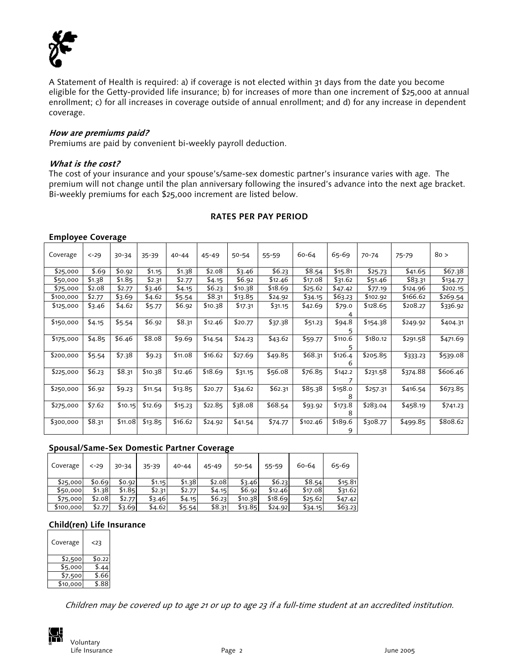

A Statement of Health is required: a) if coverage is not elected within 31 days from the date you become eligible for the Getty-provided life insurance; b) for increases of more than one increment of \$25,000 at annual enrollment; c) for all increases in coverage outside of annual enrollment; and d) for any increase in dependent coverage.

#### **How are premiums paid?**

Premiums are paid by convenient bi-weekly payroll deduction.

#### **What is the cost?**

The cost of your insurance and your spouse's/same-sex domestic partner's insurance varies with age. The premium will not change until the plan anniversary following the insured's advance into the next age bracket. Bi-weekly premiums for each \$25,000 increment are listed below.

# **RATES PER PAY PERIOD**

#### **Employee Coverage**

| Coverage  | $< -29$ | $30 - 34$ | $35 - 39$ | $40 - 44$ | $45 - 49$ | $50 - 54$ | 55-59   | 60-64    | 65-69   | $70 - 74$ | $75 - 79$ | 80 >     |
|-----------|---------|-----------|-----------|-----------|-----------|-----------|---------|----------|---------|-----------|-----------|----------|
| \$25,000  | \$.69   | \$0.92    | \$1.15    | \$1.38    | \$2.08    | \$3.46    | \$6.23  | \$8.54   | \$15.81 | \$25.73   | \$41.65   | \$67.38  |
| \$50,000  | \$1.38  | \$1.85    | \$2.31    | \$2.77    | \$4.15    | \$6.92    | \$12.46 | \$17.08  | \$31.62 | \$51.46   | \$83.31   | \$134.77 |
| \$75,000  | \$2.08  | \$2.77    | \$3.46    | \$4.15    | \$6.23    | \$10.38   | \$18.69 | \$25.62  | \$47.42 | \$77.19   | \$124.96  | \$202.15 |
| \$100,000 | \$2.77  | \$3.69    | \$4.62    | \$5.54    | \$8.31    | \$13.85   | \$24.92 | \$34.15  | \$63.23 | \$102.92  | \$166.62  | \$269.54 |
| \$125,000 | \$3.46  | \$4.62    | \$5.77    | \$6.92    | \$10.38   | \$17.31   | \$31.15 | \$42.69  | \$79.0  | \$128.65  | \$208.27  | \$336.92 |
|           |         |           |           |           |           |           |         |          |         |           |           |          |
| \$150,000 | \$4.15  | \$5.54    | \$6.92    | \$8.31    | \$12.46   | \$20.77   | \$37.38 | \$51.23  | \$94.8  | \$154.38  | \$249.92  | \$404.31 |
|           |         |           |           |           |           |           |         |          | 5       |           |           |          |
| \$175,000 | \$4.85  | \$6.46    | \$8.08    | \$9.69    | \$14.54   | \$24.23   | \$43.62 | \$59.77  | \$110.6 | \$180.12  | \$291.58  | \$471.69 |
|           |         |           |           |           |           |           |         |          |         |           |           |          |
| \$200,000 | \$5.54  | \$7.38    | \$9.23    | \$11.08   | \$16.62   | \$27.69   | \$49.85 | \$68.31  | \$126.4 | \$205.85  | \$333.23  | \$539.08 |
|           |         |           |           |           |           |           |         |          | 6       |           |           |          |
| \$225,000 | \$6.23  | \$8.31    | \$10.38   | \$12.46   | \$18.69   | \$31.15   | \$56.08 | \$76.85  | \$142.2 | \$231.58  | \$374.88  | \$606.46 |
|           |         |           |           |           |           |           |         |          |         |           |           |          |
| \$250,000 | \$6.92  | \$9.23    | \$11.54   | \$13.85   | \$20.77   | \$34.62   | \$62.31 | \$85.38  | \$158.0 | \$257.31  | \$416.54  | \$673.85 |
|           |         |           |           |           |           |           |         |          | 8       |           |           |          |
| \$275,000 | \$7.62  | \$10.15   | \$12.69   | \$15.23   | \$22.85   | \$38.08   | \$68.54 | \$93.92  | \$173.8 | \$283.04  | \$458.19  | \$741.23 |
|           |         |           |           |           |           |           |         |          | 8       |           |           |          |
| \$300,000 | \$8.31  | \$11.08   | \$13.85   | \$16.62   | \$24.92   | \$41.54   | \$74.77 | \$102.46 | \$189.6 | \$308.77  | \$499.85  | \$808.62 |
|           |         |           |           |           |           |           |         |          | 9       |           |           |          |

#### **Spousal/Same-Sex Domestic Partner Coverage**

| Coverage  | $< -29$ | 30-34  | $35 - 39$ | $40 - 44$ | $45 - 49$ | 50-54   | 55-59   | 60-64   | 65-69   |
|-----------|---------|--------|-----------|-----------|-----------|---------|---------|---------|---------|
| \$25,000  | \$0.69  | \$0.92 | \$1.15    | \$1.38    | \$2.08    | \$3.46  | \$6.23  | \$8.54  | \$15.81 |
| \$50,000  | \$1.38  | \$1.85 | \$2.31    | \$2.77    | \$4.15    | \$6.92  | \$12.46 | \$17.08 | \$31.62 |
| \$75,000  | \$2.08  | \$2.77 | \$3.46    | \$4.15    | \$6.23    | \$10.38 | \$18.69 | \$25.62 | \$47.42 |
| \$100,000 | \$2.77  | \$3.69 | \$4.62    | \$5.54    | \$8.31    | \$13.85 | \$24.92 | \$34.15 | \$63.23 |

#### **Child(ren) Life Insurance**

| Coverage | <23    |
|----------|--------|
| \$2,500  | \$0.22 |
| \$5,000  | \$.44  |
| \$7,500  | \$.66  |
| \$10,000 | \$ 88  |

Children may be covered up to age 21 or up to age 23 if a full-time student at an accredited institution.